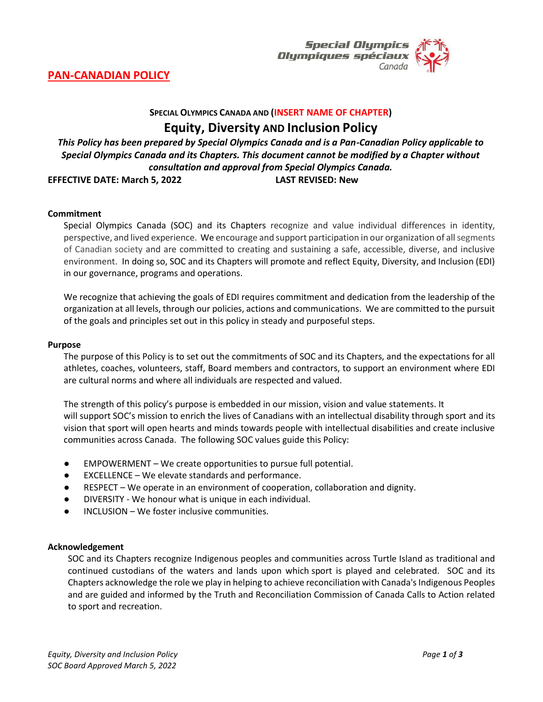

# **PAN-CANADIAN POLICY**

## **SPECIAL OLYMPICS CANADA AND (INSERT NAME OF CHAPTER)**

**Equity, Diversity AND Inclusion Policy**

*This Policy has been prepared by Special Olympics Canada and is a Pan-Canadian Policy applicable to Special Olympics Canada and its Chapters. This document cannot be modified by a Chapter without consultation and approval from Special Olympics Canada.*

**EFFECTIVE DATE: March 5, 2022 LAST REVISED: New**

#### **Commitment**

Special Olympics Canada (SOC) and its Chapters recognize and value individual differences in identity, perspective, and lived experience. We encourage and support participation in our organization of all segments of Canadian society and are committed to creating and sustaining a safe, accessible, diverse, and inclusive environment. In doing so, SOC and its Chapters will promote and reflect Equity, Diversity, and Inclusion (EDI) in our governance, programs and operations.

We recognize that achieving the goals of EDI requires commitment and dedication from the leadership of the organization at all levels, through our policies, actions and communications. We are committed to the pursuit of the goals and principles set out in this policy in steady and purposeful steps.

#### **Purpose**

The purpose of this Policy is to set out the commitments of SOC and its Chapters, and the expectations for all athletes, coaches, volunteers, staff, Board members and contractors, to support an environment where EDI are cultural norms and where all individuals are respected and valued.

The strength of this policy's purpose is embedded in our mission, vision and value statements. It will support SOC's mission to enrich the lives of Canadians with an intellectual disability through sport and its vision that sport will open hearts and minds towards people with intellectual disabilities and create inclusive communities across Canada. The following SOC values guide this Policy:

- EMPOWERMENT We create opportunities to pursue full potential.
- EXCELLENCE We elevate standards and performance.
- RESPECT We operate in an environment of cooperation, collaboration and dignity.
- DIVERSITY We honour what is unique in each individual.
- INCLUSION We foster inclusive communities.

### **Acknowledgement**

SOC and its Chapters recognize Indigenous peoples and communities across Turtle Island as traditional and continued custodians of the waters and lands upon which sport is played and celebrated. SOC and its Chapters acknowledge the role we play in helping to achieve reconciliation with Canada's Indigenous Peoples and are guided and informed by the Truth and Reconciliation Commission of Canada Calls to Action related to sport and recreation.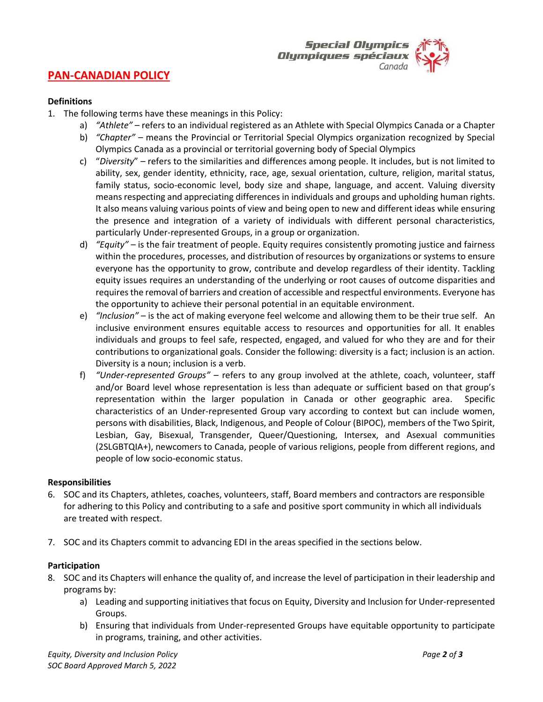

## **PAN-CANADIAN POLICY**

#### **Definitions**

- 1. The following terms have these meanings in this Policy:
	- a) *"Athlete"* refers to an individual registered as an Athlete with Special Olympics Canada or a Chapter
		- b) *"Chapter"*  means the Provincial or Territorial Special Olympics organization recognized by Special Olympics Canada as a provincial or territorial governing body of Special Olympics
		- c) "*Diversity*" refers to the similarities and differences among people. It includes, but is not limited to ability, sex, gender identity, ethnicity, race, age, sexual orientation, culture, religion, marital status, family status, socio-economic level, body size and shape, language, and accent. Valuing diversity means respecting and appreciating differences in individuals and groups and upholding human rights. It also means valuing various points of view and being open to new and different ideas while ensuring the presence and integration of a variety of individuals with different personal characteristics, particularly Under-represented Groups, in a group or organization.
		- d) *"Equity"*  is the fair treatment of people. Equity requires consistently promoting justice and fairness within the procedures, processes, and distribution of resources by organizations or systems to ensure everyone has the opportunity to grow, contribute and develop regardless of their identity. Tackling equity issues requires an understanding of the underlying or root causes of outcome disparities and requires the removal of barriers and creation of accessible and respectful environments. Everyone has the opportunity to achieve their personal potential in an equitable environment.
		- e) *"Inclusion"*  is the act of making everyone feel welcome and allowing them to be their true self. An inclusive environment ensures equitable access to resources and opportunities for all. It enables individuals and groups to feel safe, respected, engaged, and valued for who they are and for their contributions to organizational goals. Consider the following: diversity is a fact; inclusion is an action. Diversity is a noun; inclusion is a verb.
		- f) *"Under-represented Groups"* refers to any group involved at the athlete, coach, volunteer, staff and/or Board level whose representation is less than adequate or sufficient based on that group's representation within the larger population in Canada or other geographic area. Specific characteristics of an Under-represented Group vary according to context but can include women, persons with disabilities, Black, Indigenous, and People of Colour (BIPOC), members of the Two Spirit, Lesbian, Gay, Bisexual, Transgender, Queer/Questioning, Intersex, and Asexual communities (2SLGBTQIA+), newcomers to Canada, people of various religions, people from different regions, and people of low socio-economic status.

#### **Responsibilities**

- 6. SOC and its Chapters, athletes, coaches, volunteers, staff, Board members and contractors are responsible for adhering to this Policy and contributing to a safe and positive sport community in which all individuals are treated with respect.
- 7. SOC and its Chapters commit to advancing EDI in the areas specified in the sections below.

#### **Participation**

- 8. SOC and its Chapters will enhance the quality of, and increase the level of participation in their leadership and programs by:
	- a) Leading and supporting initiatives that focus on Equity, Diversity and Inclusion for Under-represented Groups.
	- b) Ensuring that individuals from Under-represented Groups have equitable opportunity to participate in programs, training, and other activities.